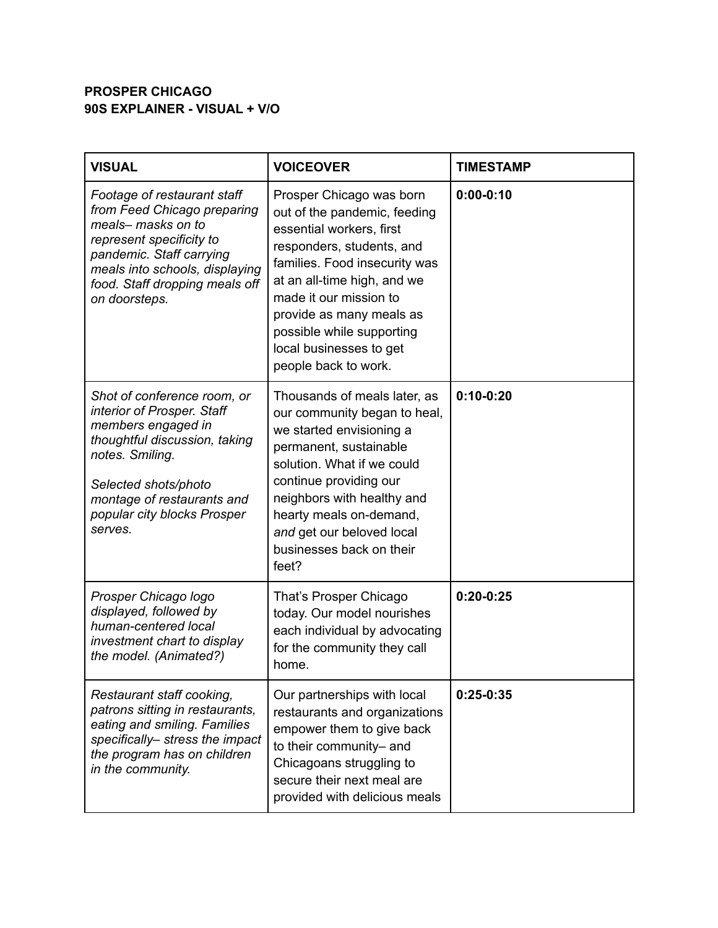## **PROSPER CHICAGO 90S EXPLAINER - VISUAL + V/O**

| <b>VISUAL</b>                                                                                                                                                                                                                       | <b>VOICEOVER</b>                                                                                                                                                                                                                                                                                                        | <b>TIMESTAMP</b> |
|-------------------------------------------------------------------------------------------------------------------------------------------------------------------------------------------------------------------------------------|-------------------------------------------------------------------------------------------------------------------------------------------------------------------------------------------------------------------------------------------------------------------------------------------------------------------------|------------------|
| Footage of restaurant staff<br>from Feed Chicago preparing<br>meals- masks on to<br>represent specificity to<br>pandemic. Staff carrying<br>meals into schools, displaying<br>food. Staff dropping meals off<br>on doorsteps.       | Prosper Chicago was born<br>out of the pandemic, feeding<br>essential workers, first<br>responders, students, and<br>families. Food insecurity was<br>at an all-time high, and we<br>made it our mission to<br>provide as many meals as<br>possible while supporting<br>local businesses to get<br>people back to work. | $0:00-0:10$      |
| Shot of conference room, or<br>interior of Prosper. Staff<br>members engaged in<br>thoughtful discussion, taking<br>notes. Smiling.<br>Selected shots/photo<br>montage of restaurants and<br>popular city blocks Prosper<br>serves. | Thousands of meals later, as<br>our community began to heal,<br>we started envisioning a<br>permanent, sustainable<br>solution. What if we could<br>continue providing our<br>neighbors with healthy and<br>hearty meals on-demand,<br>and get our beloved local<br>businesses back on their<br>feet?                   | $0:10-0:20$      |
| Prosper Chicago logo<br>displayed, followed by<br>human-centered local<br>investment chart to display<br>the model. (Animated?)                                                                                                     | That's Prosper Chicago<br>today. Our model nourishes<br>each individual by advocating<br>for the community they call<br>home.                                                                                                                                                                                           | $0:20-0:25$      |
| Restaurant staff cooking,<br>patrons sitting in restaurants,<br>eating and smiling. Families<br>specifically- stress the impact<br>the program has on children<br>in the community.                                                 | Our partnerships with local<br>restaurants and organizations<br>empower them to give back<br>to their community- and<br>Chicagoans struggling to<br>secure their next meal are<br>provided with delicious meals                                                                                                         | $0:25-0:35$      |